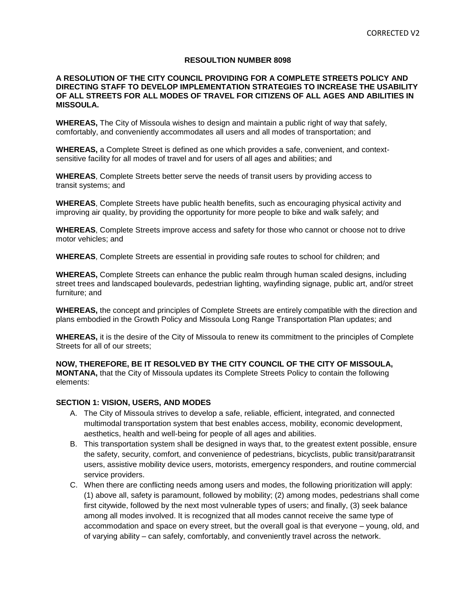### **RESOULTION NUMBER 8098**

### **A RESOLUTION OF THE CITY COUNCIL PROVIDING FOR A COMPLETE STREETS POLICY AND DIRECTING STAFF TO DEVELOP IMPLEMENTATION STRATEGIES TO INCREASE THE USABILITY OF ALL STREETS FOR ALL MODES OF TRAVEL FOR CITIZENS OF ALL AGES AND ABILITIES IN MISSOULA.**

**WHEREAS,** The City of Missoula wishes to design and maintain a public right of way that safely, comfortably, and conveniently accommodates all users and all modes of transportation; and

**WHEREAS,** a Complete Street is defined as one which provides a safe, convenient, and contextsensitive facility for all modes of travel and for users of all ages and abilities; and

**WHEREAS**, Complete Streets better serve the needs of transit users by providing access to transit systems; and

**WHEREAS**, Complete Streets have public health benefits, such as encouraging physical activity and improving air quality, by providing the opportunity for more people to bike and walk safely; and

**WHEREAS**, Complete Streets improve access and safety for those who cannot or choose not to drive motor vehicles; and

**WHEREAS**, Complete Streets are essential in providing safe routes to school for children; and

**WHEREAS,** Complete Streets can enhance the public realm through human scaled designs, including street trees and landscaped boulevards, pedestrian lighting, wayfinding signage, public art, and/or street furniture; and

**WHEREAS,** the concept and principles of Complete Streets are entirely compatible with the direction and plans embodied in the Growth Policy and Missoula Long Range Transportation Plan updates; and

**WHEREAS,** it is the desire of the City of Missoula to renew its commitment to the principles of Complete Streets for all of our streets;

**NOW, THEREFORE, BE IT RESOLVED BY THE CITY COUNCIL OF THE CITY OF MISSOULA, MONTANA,** that the City of Missoula updates its Complete Streets Policy to contain the following elements:

### **SECTION 1: VISION, USERS, AND MODES**

- A. The City of Missoula strives to develop a safe, reliable, efficient, integrated, and connected multimodal transportation system that best enables access, mobility, economic development, aesthetics, health and well-being for people of all ages and abilities.
- B. This transportation system shall be designed in ways that, to the greatest extent possible, ensure the safety, security, comfort, and convenience of pedestrians, bicyclists, public transit/paratransit users, assistive mobility device users, motorists, emergency responders, and routine commercial service providers.
- C. When there are conflicting needs among users and modes, the following prioritization will apply: (1) above all, safety is paramount, followed by mobility; (2) among modes, pedestrians shall come first citywide, followed by the next most vulnerable types of users; and finally, (3) seek balance among all modes involved. It is recognized that all modes cannot receive the same type of accommodation and space on every street, but the overall goal is that everyone – young, old, and of varying ability – can safely, comfortably, and conveniently travel across the network.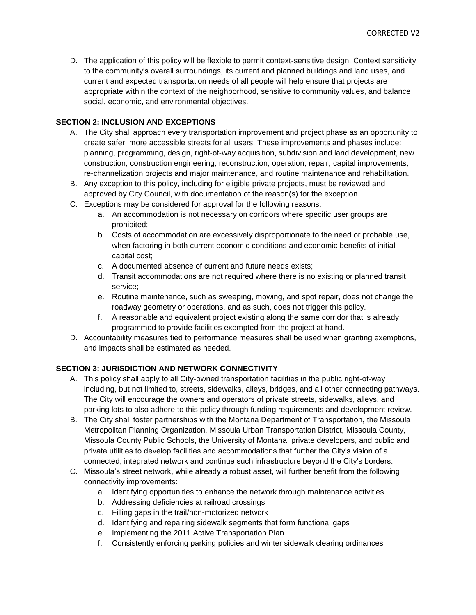D. The application of this policy will be flexible to permit context-sensitive design. Context sensitivity to the community's overall surroundings, its current and planned buildings and land uses, and current and expected transportation needs of all people will help ensure that projects are appropriate within the context of the neighborhood, sensitive to community values, and balance social, economic, and environmental objectives.

# **SECTION 2: INCLUSION AND EXCEPTIONS**

- A. The City shall approach every transportation improvement and project phase as an opportunity to create safer, more accessible streets for all users. These improvements and phases include: planning, programming, design, right-of-way acquisition, subdivision and land development, new construction, construction engineering, reconstruction, operation, repair, capital improvements, re-channelization projects and major maintenance, and routine maintenance and rehabilitation.
- B. Any exception to this policy, including for eligible private projects, must be reviewed and approved by City Council, with documentation of the reason(s) for the exception.
- C. Exceptions may be considered for approval for the following reasons:
	- a. An accommodation is not necessary on corridors where specific user groups are prohibited;
	- b. Costs of accommodation are excessively disproportionate to the need or probable use, when factoring in both current economic conditions and economic benefits of initial capital cost;
	- c. A documented absence of current and future needs exists;
	- d. Transit accommodations are not required where there is no existing or planned transit service;
	- e. Routine maintenance, such as sweeping, mowing, and spot repair, does not change the roadway geometry or operations, and as such, does not trigger this policy.
	- f. A reasonable and equivalent project existing along the same corridor that is already programmed to provide facilities exempted from the project at hand.
- D. Accountability measures tied to performance measures shall be used when granting exemptions, and impacts shall be estimated as needed.

# **SECTION 3: JURISDICTION AND NETWORK CONNECTIVITY**

- A. This policy shall apply to all City-owned transportation facilities in the public right-of-way including, but not limited to, streets, sidewalks, alleys, bridges, and all other connecting pathways. The City will encourage the owners and operators of private streets, sidewalks, alleys, and parking lots to also adhere to this policy through funding requirements and development review.
- B. The City shall foster partnerships with the Montana Department of Transportation, the Missoula Metropolitan Planning Organization, Missoula Urban Transportation District, Missoula County, Missoula County Public Schools, the University of Montana, private developers, and public and private utilities to develop facilities and accommodations that further the City's vision of a connected, integrated network and continue such infrastructure beyond the City's borders.
- C. Missoula's street network, while already a robust asset, will further benefit from the following connectivity improvements:
	- a. Identifying opportunities to enhance the network through maintenance activities
	- b. Addressing deficiencies at railroad crossings
	- c. Filling gaps in the trail/non-motorized network
	- d. Identifying and repairing sidewalk segments that form functional gaps
	- e. Implementing the 2011 Active Transportation Plan
	- f. Consistently enforcing parking policies and winter sidewalk clearing ordinances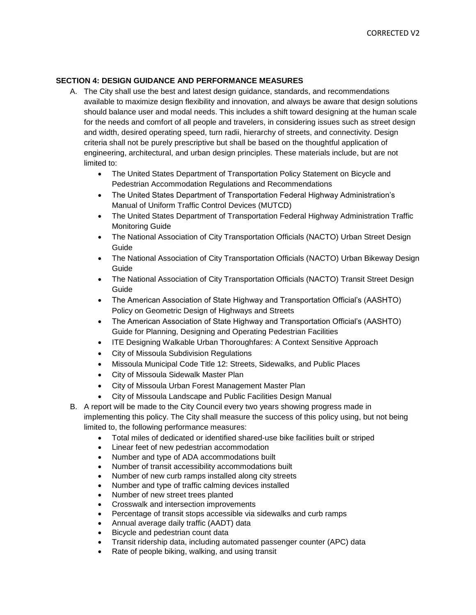## **SECTION 4: DESIGN GUIDANCE AND PERFORMANCE MEASURES**

- A. The City shall use the best and latest design guidance, standards, and recommendations available to maximize design flexibility and innovation, and always be aware that design solutions should balance user and modal needs. This includes a shift toward designing at the human scale for the needs and comfort of all people and travelers, in considering issues such as street design and width, desired operating speed, turn radii, hierarchy of streets, and connectivity. Design criteria shall not be purely prescriptive but shall be based on the thoughtful application of engineering, architectural, and urban design principles. These materials include, but are not limited to:
	- The United States Department of Transportation Policy Statement on Bicycle and Pedestrian Accommodation Regulations and Recommendations
	- The United States Department of Transportation Federal Highway Administration's Manual of Uniform Traffic Control Devices (MUTCD)
	- The United States Department of Transportation Federal Highway Administration Traffic Monitoring Guide
	- The National Association of City Transportation Officials (NACTO) Urban Street Design Guide
	- The National Association of City Transportation Officials (NACTO) Urban Bikeway Design Guide
	- The National Association of City Transportation Officials (NACTO) Transit Street Design Guide
	- The American Association of State Highway and Transportation Official's (AASHTO) Policy on Geometric Design of Highways and Streets
	- The American Association of State Highway and Transportation Official's (AASHTO) Guide for Planning, Designing and Operating Pedestrian Facilities
	- ITE Designing Walkable Urban Thoroughfares: A Context Sensitive Approach
	- City of Missoula Subdivision Regulations
	- Missoula Municipal Code Title 12: Streets, Sidewalks, and Public Places
	- City of Missoula Sidewalk Master Plan
	- City of Missoula Urban Forest Management Master Plan
	- City of Missoula Landscape and Public Facilities Design Manual
- B. A report will be made to the City Council every two years showing progress made in implementing this policy. The City shall measure the success of this policy using, but not being limited to, the following performance measures:
	- Total miles of dedicated or identified shared-use bike facilities built or striped
	- Linear feet of new pedestrian accommodation
	- Number and type of ADA accommodations built
	- Number of transit accessibility accommodations built
	- Number of new curb ramps installed along city streets
	- Number and type of traffic calming devices installed
	- Number of new street trees planted
	- Crosswalk and intersection improvements
	- Percentage of transit stops accessible via sidewalks and curb ramps
	- Annual average daily traffic (AADT) data
	- Bicycle and pedestrian count data
	- Transit ridership data, including automated passenger counter (APC) data
	- Rate of people biking, walking, and using transit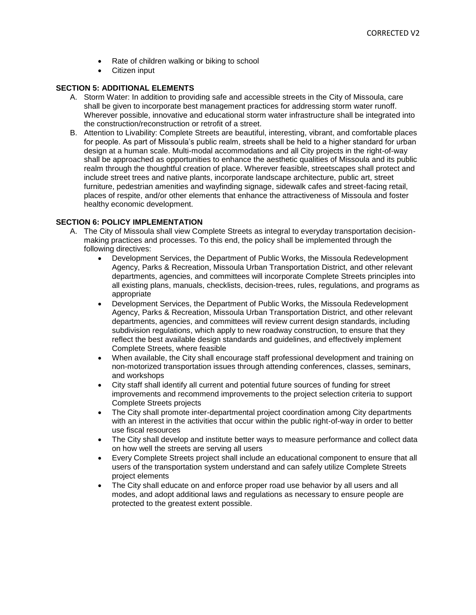- Rate of children walking or biking to school
- Citizen input

### **SECTION 5: ADDITIONAL ELEMENTS**

- A. Storm Water: In addition to providing safe and accessible streets in the City of Missoula, care shall be given to incorporate best management practices for addressing storm water runoff. Wherever possible, innovative and educational storm water infrastructure shall be integrated into the construction/reconstruction or retrofit of a street.
- B. Attention to Livability: Complete Streets are beautiful, interesting, vibrant, and comfortable places for people. As part of Missoula's public realm, streets shall be held to a higher standard for urban design at a human scale. Multi-modal accommodations and all City projects in the right-of-way shall be approached as opportunities to enhance the aesthetic qualities of Missoula and its public realm through the thoughtful creation of place. Wherever feasible, streetscapes shall protect and include street trees and native plants, incorporate landscape architecture, public art, street furniture, pedestrian amenities and wayfinding signage, sidewalk cafes and street-facing retail, places of respite, and/or other elements that enhance the attractiveness of Missoula and foster healthy economic development.

### **SECTION 6: POLICY IMPLEMENTATION**

- A. The City of Missoula shall view Complete Streets as integral to everyday transportation decisionmaking practices and processes. To this end, the policy shall be implemented through the following directives:
	- Development Services, the Department of Public Works, the Missoula Redevelopment Agency, Parks & Recreation, Missoula Urban Transportation District, and other relevant departments, agencies, and committees will incorporate Complete Streets principles into all existing plans, manuals, checklists, decision-trees, rules, regulations, and programs as appropriate
	- Development Services, the Department of Public Works, the Missoula Redevelopment Agency, Parks & Recreation, Missoula Urban Transportation District, and other relevant departments, agencies, and committees will review current design standards, including subdivision regulations, which apply to new roadway construction, to ensure that they reflect the best available design standards and guidelines, and effectively implement Complete Streets, where feasible
	- When available, the City shall encourage staff professional development and training on non-motorized transportation issues through attending conferences, classes, seminars, and workshops
	- City staff shall identify all current and potential future sources of funding for street improvements and recommend improvements to the project selection criteria to support Complete Streets projects
	- The City shall promote inter-departmental project coordination among City departments with an interest in the activities that occur within the public right-of-way in order to better use fiscal resources
	- The City shall develop and institute better ways to measure performance and collect data on how well the streets are serving all users
	- Every Complete Streets project shall include an educational component to ensure that all users of the transportation system understand and can safely utilize Complete Streets project elements
	- The City shall educate on and enforce proper road use behavior by all users and all modes, and adopt additional laws and regulations as necessary to ensure people are protected to the greatest extent possible.